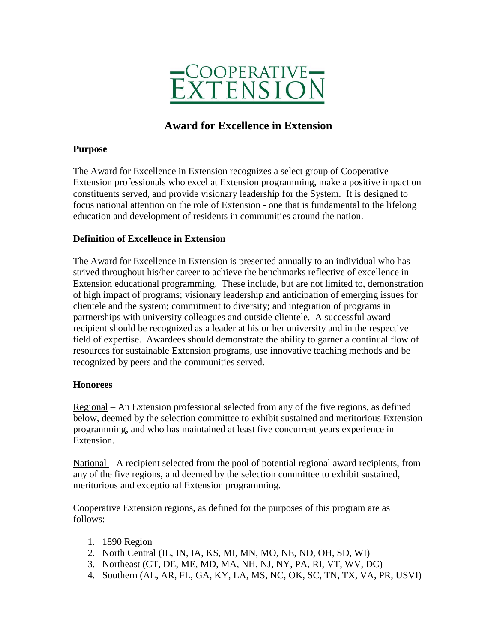

# **Award for Excellence in Extension**

#### **Purpose**

The Award for Excellence in Extension recognizes a select group of Cooperative Extension professionals who excel at Extension programming, make a positive impact on constituents served, and provide visionary leadership for the System. It is designed to focus national attention on the role of Extension - one that is fundamental to the lifelong education and development of residents in communities around the nation.

## **Definition of Excellence in Extension**

The Award for Excellence in Extension is presented annually to an individual who has strived throughout his/her career to achieve the benchmarks reflective of excellence in Extension educational programming. These include, but are not limited to, demonstration of high impact of programs; visionary leadership and anticipation of emerging issues for clientele and the system; commitment to diversity; and integration of programs in partnerships with university colleagues and outside clientele. A successful award recipient should be recognized as a leader at his or her university and in the respective field of expertise. Awardees should demonstrate the ability to garner a continual flow of resources for sustainable Extension programs, use innovative teaching methods and be recognized by peers and the communities served.

#### **Honorees**

Regional – An Extension professional selected from any of the five regions, as defined below, deemed by the selection committee to exhibit sustained and meritorious Extension programming, and who has maintained at least five concurrent years experience in Extension.

National – A recipient selected from the pool of potential regional award recipients, from any of the five regions, and deemed by the selection committee to exhibit sustained, meritorious and exceptional Extension programming.

Cooperative Extension regions, as defined for the purposes of this program are as follows:

- 1. 1890 Region
- 2. North Central (IL, IN, IA, KS, MI, MN, MO, NE, ND, OH, SD, WI)
- 3. Northeast (CT, DE, ME, MD, MA, NH, NJ, NY, PA, RI, VT, WV, DC)
- 4. Southern (AL, AR, FL, GA, KY, LA, MS, NC, OK, SC, TN, TX, VA, PR, USVI)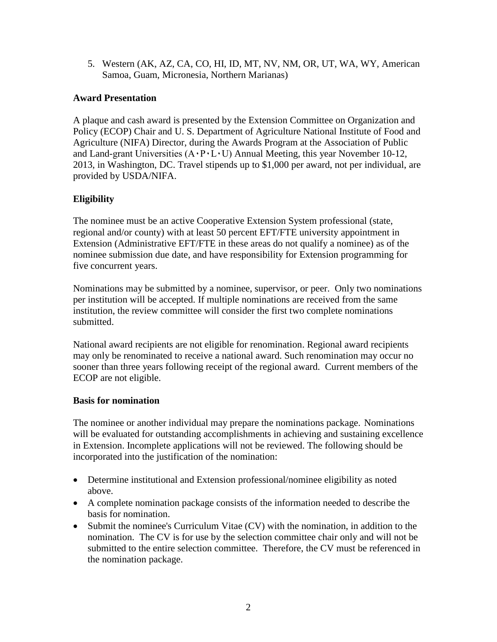5. Western (AK, AZ, CA, CO, HI, ID, MT, NV, NM, OR, UT, WA, WY, American Samoa, Guam, Micronesia, Northern Marianas)

# **Award Presentation**

A plaque and cash award is presented by the Extension Committee on Organization and Policy (ECOP) Chair and U. S. Department of Agriculture National Institute of Food and Agriculture (NIFA) Director, during the Awards Program at the Association of Public and Land-grant Universities  $(A \cdot P \cdot L \cdot U)$  Annual Meeting, this year November 10-12, 2013, in Washington, DC. Travel stipends up to \$1,000 per award, not per individual, are provided by USDA/NIFA.

# **Eligibility**

The nominee must be an active Cooperative Extension System professional (state, regional and/or county) with at least 50 percent EFT/FTE university appointment in Extension (Administrative EFT/FTE in these areas do not qualify a nominee) as of the nominee submission due date, and have responsibility for Extension programming for five concurrent years.

Nominations may be submitted by a nominee, supervisor, or peer. Only two nominations per institution will be accepted. If multiple nominations are received from the same institution, the review committee will consider the first two complete nominations submitted.

National award recipients are not eligible for renomination. Regional award recipients may only be renominated to receive a national award. Such renomination may occur no sooner than three years following receipt of the regional award. Current members of the ECOP are not eligible.

## **Basis for nomination**

The nominee or another individual may prepare the nominations package. Nominations will be evaluated for outstanding accomplishments in achieving and sustaining excellence in Extension. Incomplete applications will not be reviewed. The following should be incorporated into the justification of the nomination:

- Determine institutional and Extension professional/nominee eligibility as noted above.
- A complete nomination package consists of the information needed to describe the basis for nomination.
- Submit the nominee's Curriculum Vitae (CV) with the nomination, in addition to the nomination. The CV is for use by the selection committee chair only and will not be submitted to the entire selection committee. Therefore, the CV must be referenced in the nomination package.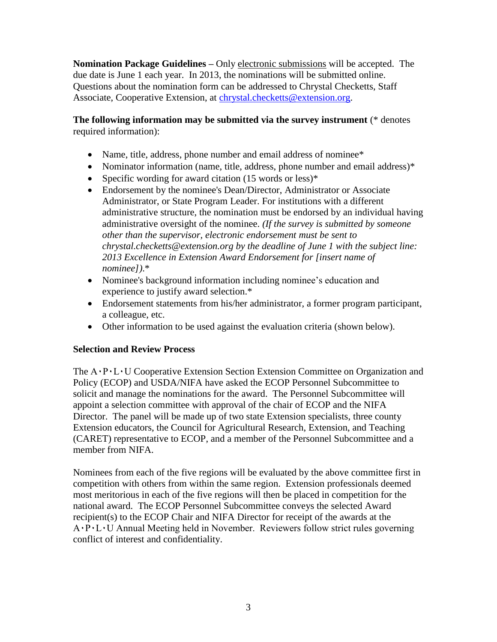**Nomination Package Guidelines –** Only electronic submissions will be accepted. The due date is June 1 each year. In 2013, the nominations will be submitted online. Questions about the nomination form can be addressed to Chrystal Checketts, Staff Associate, Cooperative Extension, at [chrystal.checketts@extension.org.](mailto:chrystal.checketts@extension.org)

# **The following information may be submitted via the survey instrument** (\* denotes required information):

- Name, title, address, phone number and email address of nominee\*
- Nominator information (name, title, address, phone number and email address)\*
- Specific wording for award citation  $(15 \text{ words or less})^*$
- Endorsement by the nominee's Dean/Director, Administrator or Associate Administrator, or State Program Leader. For institutions with a different administrative structure, the nomination must be endorsed by an individual having administrative oversight of the nominee. *(If the survey is submitted by someone other than the supervisor, electronic endorsement must be sent to chrystal.checketts@extension.org by the deadline of June 1 with the subject line: 2013 Excellence in Extension Award Endorsement for [insert name of nominee])*.\*
- Nominee's background information including nominee's education and experience to justify award selection.\*
- Endorsement statements from his/her administrator, a former program participant, a colleague, etc.
- Other information to be used against the evaluation criteria (shown below).

## **Selection and Review Process**

The  $A \cdot P \cdot L \cdot U$  Cooperative Extension Section Extension Committee on Organization and Policy (ECOP) and USDA/NIFA have asked the ECOP Personnel Subcommittee to solicit and manage the nominations for the award. The Personnel Subcommittee will appoint a selection committee with approval of the chair of ECOP and the NIFA Director. The panel will be made up of two state Extension specialists, three county Extension educators, the Council for Agricultural Research, Extension, and Teaching (CARET) representative to ECOP, and a member of the Personnel Subcommittee and a member from NIFA.

Nominees from each of the five regions will be evaluated by the above committee first in competition with others from within the same region. Extension professionals deemed most meritorious in each of the five regions will then be placed in competition for the national award. The ECOP Personnel Subcommittee conveys the selected Award recipient(s) to the ECOP Chair and NIFA Director for receipt of the awards at the A۰P۰L۰U Annual Meeting held in November. Reviewers follow strict rules governing conflict of interest and confidentiality.